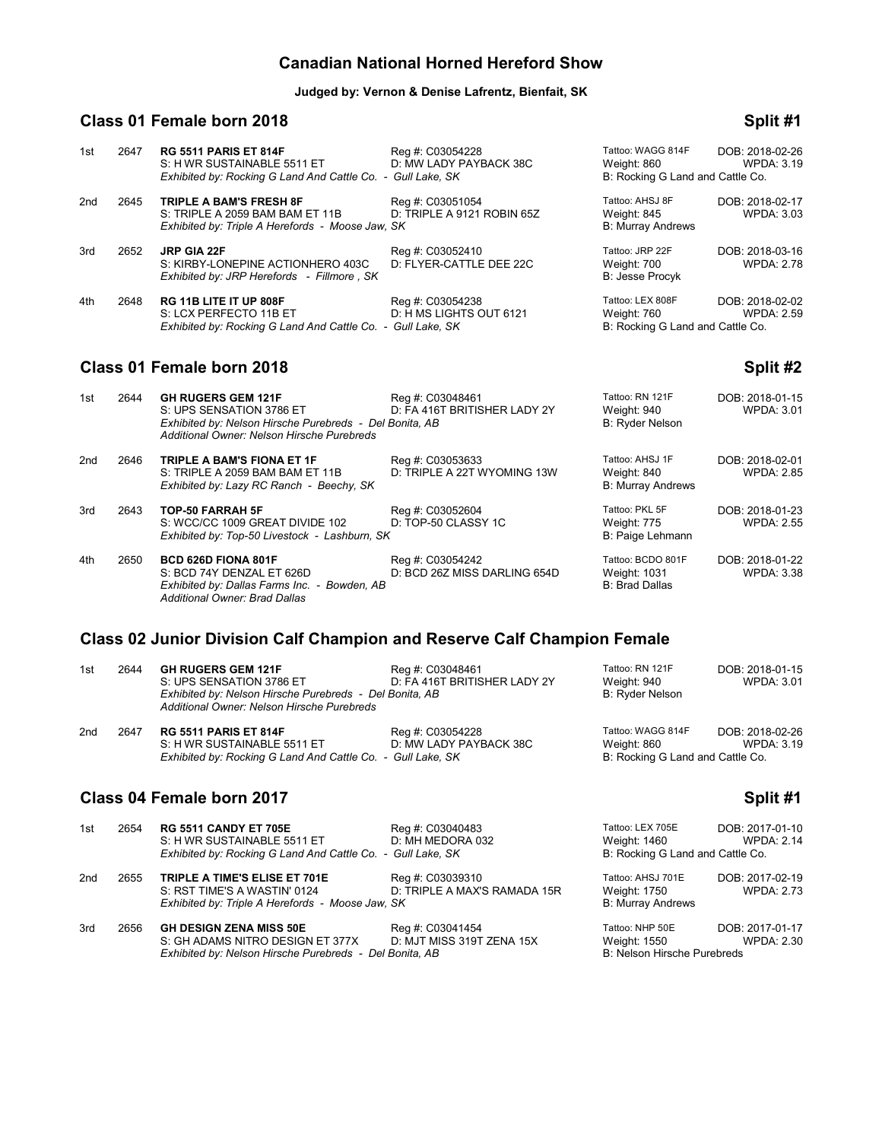# **Canadian National Horned Hereford Show**

#### **Judged by: Vernon & Denise Lafrentz, Bienfait, SK**

# **Class 01 Female born 2018 Split #1**

#### 1st 2647 **RG 5511 PARIS ET 814F** Reg #: C03054228 Tattoo: WAGG 814F DOB: 2018-02-26 S: H WR SUSTAINABLE 5511 ET D: MW LADY PAYBACK 38C Weight: 860 WPD<br>Exhibited by: Rocking G Land And Cattle Co. - Gull Lake, SK B: Rocking G Land and Cattle Co. *Exhibited by: Rocking G Land And Cattle Co. - Gull Lake, SK* 2nd 2645 **TRIPLE A BAM'S FRESH 8F** Reg #: C03051054 Tattoo: AHSJ 8F DOB: 2018-02-17 S: TRIPLE A 2059 BAM BAM ET 11B *Exhibited by: Triple A Herefords - Moose Jaw, SK* B: Murray Andrews 3rd 2652 **JRP GIA 22F COMBERG 2018-03-16** Reg #: C03052410 **Tattoo: JRP 22F** DOB: 2018-03-16<br>S: KIRBY-LONEPINE ACTIONHERO 403C D: FLYER-CATTLE DEE 22C Weight: 700 S: KIRBY-LONEPINE ACTIONHERO 403C D: FLYER-CATTLE DEE 22C S: KIRBY-LONEPINE ACTIONHERO 403C D: FLYER-CATTLE DEE 22C Weight: 700 Weight: 700 WPDA: 2.78<br>
Exhibited by: JRP Herefords - Fillmore , SK *Exhibited by: JRP Herefords - Fillmore , SK* 4th 2648 **RG 11B LITE IT UP 808F** Reg #: C03054238 Tattoo: LEX 808F DOB: 2018-02-02 D: H MS LIGHTS OUT 6121 Weight: 760 WPDA: 2.59<br>
Gull Lake, SK Gull Lake, SK B: Rocking G Land and Cattle Co. *Exhibited by: Rocking G Land And Cattle Co. - Gull Lake, SK*

# **Class 01 Female born 2018 Split #2 Split #2**

| 1st | 2644 | <b>GH RUGERS GEM 121F</b><br>S: UPS SENSATION 3786 ET<br>Exhibited by: Nelson Hirsche Purebreds - Del Bonita, AB<br>Additional Owner: Nelson Hirsche Purebreds | Reg #: C03048461<br>D: FA 416T BRITISHER LADY 2Y | Tattoo: RN 121F<br>Weight: 940<br><b>B: Ryder Nelson</b>   | DOB: 2018-01-15<br><b>WPDA: 3.01</b> |
|-----|------|----------------------------------------------------------------------------------------------------------------------------------------------------------------|--------------------------------------------------|------------------------------------------------------------|--------------------------------------|
| 2nd | 2646 | <b>TRIPLE A BAM'S FIONA ET 1F</b><br>S: TRIPLE A 2059 BAM BAM ET 11B<br>Exhibited by: Lazy RC Ranch - Beechy, SK                                               | Reg #: C03053633<br>D: TRIPLE A 22T WYOMING 13W  | Tattoo: AHSJ 1F<br>Weight: 840<br><b>B: Murray Andrews</b> | DOB: 2018-02-01<br><b>WPDA: 2.85</b> |
| 3rd | 2643 | <b>TOP-50 FARRAH 5F</b><br>S: WCC/CC 1009 GREAT DIVIDE 102<br>Exhibited by: Top-50 Livestock - Lashburn, SK                                                    | Reg #: C03052604<br>D: TOP-50 CLASSY 1C          | Tattoo: PKL 5F<br>Weight: 775<br>B: Paige Lehmann          | DOB: 2018-01-23<br><b>WPDA: 2.55</b> |
| 4th | 2650 | BCD 626D FIONA 801F<br>S: BCD 74Y DENZAL ET 626D<br>Exhibited by: Dallas Farms Inc. - Bowden, AB<br>Additional Owner: Brad Dallas                              | Reg #: C03054242<br>D: BCD 26Z MISS DARLING 654D | Tattoo: BCDO 801F<br>Weight: 1031<br><b>B: Brad Dallas</b> | DOB: 2018-01-22<br><b>WPDA: 3.38</b> |

### **Class 02 Junior Division Calf Champion and Reserve Calf Champion Female**

| 1st | 2644 | <b>GH RUGERS GEM 121F</b><br>S: UPS SENSATION 3786 ET<br>Exhibited by: Nelson Hirsche Purebreds - Del Bonita, AB<br>Additional Owner: Nelson Hirsche Purebreds | Reg #: C03048461<br>D: FA 416T BRITISHER LADY 2Y | Tattoo: RN 121F<br>Weight: 940<br>B: Ryder Nelson                    | DOB: 2018-01-15<br>WPDA: 3.01 |
|-----|------|----------------------------------------------------------------------------------------------------------------------------------------------------------------|--------------------------------------------------|----------------------------------------------------------------------|-------------------------------|
| 2nd | 2647 | <b>RG 5511 PARIS ET 814F</b><br>S: H WR SUSTAINABLE 5511 ET<br>Exhibited by: Rocking G Land And Cattle Co. - Gull Lake, SK                                     | Reg #: C03054228<br>D: MW LADY PAYBACK 38C       | Tattoo: WAGG 814F<br>Weight: 860<br>B: Rocking G Land and Cattle Co. | DOB: 2018-02-26<br>WPDA: 3.19 |

#### **Class 04 Female born 2017 Split #1 Split #1 Split #1**

| 1st | 2654 | <b>RG 5511 CANDY ET 705E</b><br>S: H WR SUSTAINABLE 5511 ET                                                                   | Reg #: C03040483<br>D: MH MEDORA 032             | Tattoo: LEX 705E<br>Weight: 1460                                      | DOB: 2017-01-10<br><b>WPDA: 2.14</b> |
|-----|------|-------------------------------------------------------------------------------------------------------------------------------|--------------------------------------------------|-----------------------------------------------------------------------|--------------------------------------|
|     |      | Exhibited by: Rocking G Land And Cattle Co. - Gull Lake, SK                                                                   |                                                  | B: Rocking G Land and Cattle Co.                                      |                                      |
| 2nd | 2655 | TRIPLE A TIME'S ELISE ET 701E<br>S: RST TIME'S A WASTIN' 0124<br>Exhibited by: Triple A Herefords - Moose Jaw, SK             | Reg #: C03039310<br>D: TRIPLE A MAX'S RAMADA 15R | Tattoo: AHSJ 701E<br>Weight: 1750<br><b>B: Murray Andrews</b>         | DOB: 2017-02-19<br><b>WPDA: 2.73</b> |
| 3rd | 2656 | <b>GH DESIGN ZENA MISS 50E</b><br>S: GH ADAMS NITRO DESIGN ET 377X<br>Exhibited by: Nelson Hirsche Purebreds - Del Bonita, AB | Reg #: C03041454<br>D: MJT MISS 319T ZENA 15X    | Tattoo: NHP 50E<br>Weight: 1550<br><b>B: Nelson Hirsche Purebreds</b> | DOB: 2017-01-17<br>WPDA: 2.30        |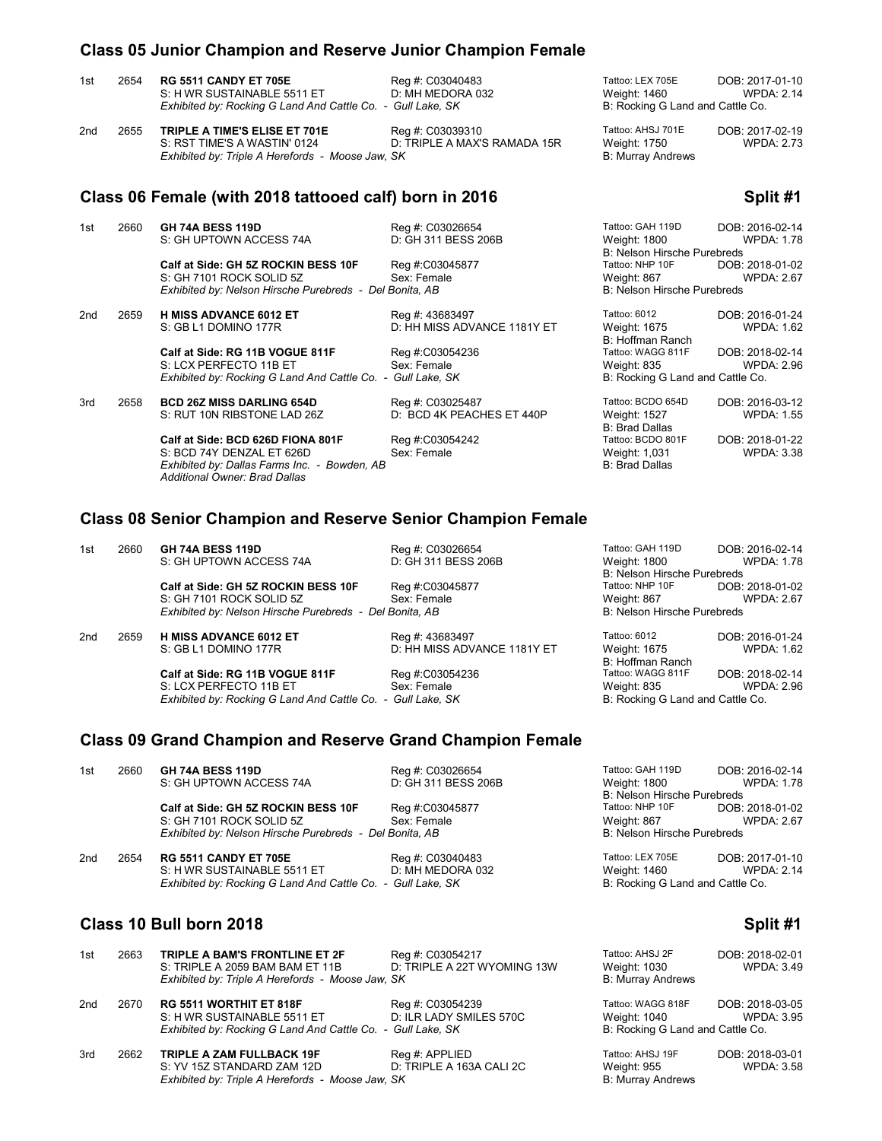|     |      | Class 05 Junior Champion and Reserve Junior Champion Female                                                                |                                                  |                                                                      |                                      |
|-----|------|----------------------------------------------------------------------------------------------------------------------------|--------------------------------------------------|----------------------------------------------------------------------|--------------------------------------|
| 1st | 2654 | <b>RG 5511 CANDY ET 705E</b><br>S: H WR SUSTAINABLE 5511 ET<br>Exhibited by: Rocking G Land And Cattle Co. - Gull Lake, SK | Reg #: C03040483<br>D: MH MEDORA 032             | Tattoo: LEX 705E<br>Weight: 1460<br>B: Rocking G Land and Cattle Co. | DOB: 2017-01-10<br><b>WPDA: 2.14</b> |
| 2nd | 2655 | TRIPLE A TIME'S ELISE ET 701E<br>S: RST TIME'S A WASTIN' 0124<br>Exhibited by: Triple A Herefords - Moose Jaw, SK          | Reg #: C03039310<br>D: TRIPLE A MAX'S RAMADA 15R | Tattoo: AHSJ 701E<br>Weight: 1750<br><b>B: Murray Andrews</b>        | DOB: 2017-02-19<br><b>WPDA: 2.73</b> |
|     |      | Class 06 Female (with 2018 tattooed calf) born in 2016                                                                     |                                                  |                                                                      | Split #1                             |
| 1st | 2660 | <b>GH 74A BESS 119D</b><br>S: GH UPTOWN ACCESS 74A                                                                         | Reg #: C03026654<br>D: GH 311 BESS 206B          | Tattoo: GAH 119D<br>Weight: 1800<br>B: Nelson Hirsche Purebreds      | DOB: 2016-02-14<br><b>WPDA: 1.78</b> |
|     |      | Calf at Side: GH 5Z ROCKIN BESS 10F<br>S: GH 7101 ROCK SOLID 5Z<br>Exhibited by: Nelson Hirsche Purebreds - Del Bonita, AB | Reg #:C03045877<br>Sex: Female                   | Tattoo: NHP 10F<br>Weight: 867<br><b>B: Nelson Hirsche Purebreds</b> | DOB: 2018-01-02<br><b>WPDA: 2.67</b> |
| 2nd | 2659 | <b>H MISS ADVANCE 6012 ET</b><br>S: GB L1 DOMINO 177R                                                                      | Reg #: 43683497<br>D: HH MISS ADVANCE 1181Y ET   | Tattoo: 6012<br>Weight: 1675<br>B: Hoffman Ranch                     | DOB: 2016-01-24<br><b>WPDA: 1.62</b> |
|     |      | Calf at Side: RG 11B VOGUE 811F<br>S: LCX PERFECTO 11B ET<br>Exhibited by: Rocking G Land And Cattle Co. - Gull Lake, SK   | Reg #:C03054236<br>Sex: Female                   | Tattoo: WAGG 811F<br>Weight: 835<br>B: Rocking G Land and Cattle Co. | DOB: 2018-02-14<br><b>WPDA: 2.96</b> |

3rd 2658 **BCD 26Z MISS DARLING 654D** Reg #: C03025487 Tattoo: BCDO 654D DOB: 2016-03-12 D: BCD 4K PEACHES ET 440P

> **Calf at Side: BCD 626D FIONA 801F** Reg #:C03054242 Tattoo: BCDO 801F DOB: 2018-01-22<br>S: BCD 74Y DENZAL ET 626D Sex: Female Weight: 1,031 WPDA: 3.38 S: BCD 74Y DENZAL ET 626D<br>
> Exhibited by: Dallas Farms Inc. - Bowden, AB<br>
> B: Brad Dallas *Exhibited by: Dallas Farms Inc. - Bowden, AB Additional Owner: Brad Dallas*

B: Brad Dallas<br>Tattoo: BCDO 801F

#### **Class 08 Senior Champion and Reserve Senior Champion Female**

| 2660 | <b>GH 74A BESS 119D</b>             | Reg #: C03026654            | Tattoo: GAH 119D                                                                                                                          | DOB: 2016-02-14   |
|------|-------------------------------------|-----------------------------|-------------------------------------------------------------------------------------------------------------------------------------------|-------------------|
|      | S: GH UPTOWN ACCESS 74A             | D: GH 311 BESS 206B         | Weight: 1800                                                                                                                              | <b>WPDA: 1.78</b> |
|      |                                     |                             | <b>B: Nelson Hirsche Purebreds</b>                                                                                                        |                   |
|      | Calf at Side: GH 5Z ROCKIN BESS 10F |                             | Tattoo: NHP 10F                                                                                                                           | DOB: 2018-01-02   |
|      | S: GH 7101 ROCK SOLID 5Z            | Sex: Female                 | Weight: 867                                                                                                                               | <b>WPDA: 2.67</b> |
|      |                                     |                             | <b>B: Nelson Hirsche Purebreds</b>                                                                                                        |                   |
| 2659 | <b>H MISS ADVANCE 6012 ET</b>       | Reg #: 43683497             | Tattoo: 6012                                                                                                                              | DOB: 2016-01-24   |
|      | S: GB L1 DOMINO 177R                | D: HH MISS ADVANCE 1181Y ET | Weight: 1675                                                                                                                              | <b>WPDA: 1.62</b> |
|      |                                     |                             | B: Hoffman Ranch                                                                                                                          |                   |
|      | Calf at Side: RG 11B VOGUE 811F     | Reg #:C03054236             | Tattoo: WAGG 811F                                                                                                                         | DOB: 2018-02-14   |
|      | S: LCX PERFECTO 11B ET              | Sex: Female                 | Weight: 835                                                                                                                               | <b>WPDA: 2.96</b> |
|      |                                     |                             | B: Rocking G Land and Cattle Co.                                                                                                          |                   |
|      |                                     |                             | Reg #:C03045877<br>Exhibited by: Nelson Hirsche Purebreds - Del Bonita, AB<br>Exhibited by: Rocking G Land And Cattle Co. - Gull Lake, SK |                   |

# **Class 09 Grand Champion and Reserve Grand Champion Female**

| 1st | 2660 | <b>GH 74A BESS 119D</b><br>S: GH UPTOWN ACCESS 74A                                                                         | Reg #: C03026654<br>D: GH 311 BESS 206B | Tattoo: GAH 119D<br>Weight: 1800<br>B: Nelson Hirsche Purebreds      | DOB: 2016-02-14<br>WPDA: 1.78        |
|-----|------|----------------------------------------------------------------------------------------------------------------------------|-----------------------------------------|----------------------------------------------------------------------|--------------------------------------|
|     |      | Calf at Side: GH 5Z ROCKIN BESS 10F<br>S: GH 7101 ROCK SOLID 5Z<br>Exhibited by: Nelson Hirsche Purebreds - Del Bonita, AB | Reg #:C03045877<br>Sex: Female          | Tattoo: NHP 10F<br>Weight: 867<br><b>B: Nelson Hirsche Purebreds</b> | DOB: 2018-01-02<br><b>WPDA: 2.67</b> |
| 2nd | 2654 | <b>RG 5511 CANDY ET 705E</b><br>S: H WR SUSTAINABLE 5511 ET<br>Exhibited by: Rocking G Land And Cattle Co. - Gull Lake, SK | Reg #: C03040483<br>D: MH MEDORA 032    | Tattoo: LEX 705E<br>Weight: 1460<br>B: Rocking G Land and Cattle Co. | DOB: 2017-01-10<br><b>WPDA: 2.14</b> |
|     |      | Class 10 Bull born 2018                                                                                                    |                                         |                                                                      | Split #1                             |

| 1st | 2663 | TRIPLE A BAM'S FRONTLINE ET 2F<br>S: TRIPLE A 2059 BAM BAM ET 11B<br>Exhibited by: Triple A Herefords - Moose Jaw, SK        | Reg #: C03054217<br>D: TRIPLE A 22T WYOMING 13W | Tattoo: AHSJ 2F<br>Weight: 1030<br><b>B: Murray Andrews</b>           | DOB: 2018-02-01<br>WPDA: 3.49 |
|-----|------|------------------------------------------------------------------------------------------------------------------------------|-------------------------------------------------|-----------------------------------------------------------------------|-------------------------------|
| 2nd | 2670 | <b>RG 5511 WORTHIT ET 818F</b><br>S: H WR SUSTAINABLE 5511 ET<br>Exhibited by: Rocking G Land And Cattle Co. - Gull Lake, SK | Reg #: C03054239<br>D: ILR LADY SMILES 570C     | Tattoo: WAGG 818F<br>Weight: 1040<br>B: Rocking G Land and Cattle Co. | DOB: 2018-03-05<br>WPDA: 3.95 |
| 3rd | 2662 | <b>TRIPLE A ZAM FULLBACK 19F</b><br>S: YV 15Z STANDARD ZAM 12D<br>Exhibited by: Triple A Herefords - Moose Jaw, SK           | Reg #: APPLIED<br>D: TRIPLE A 163A CALI 2C      | Tattoo: AHSJ 19F<br>Weight: 955<br><b>B: Murray Andrews</b>           | DOB: 2018-03-01<br>WPDA: 3.58 |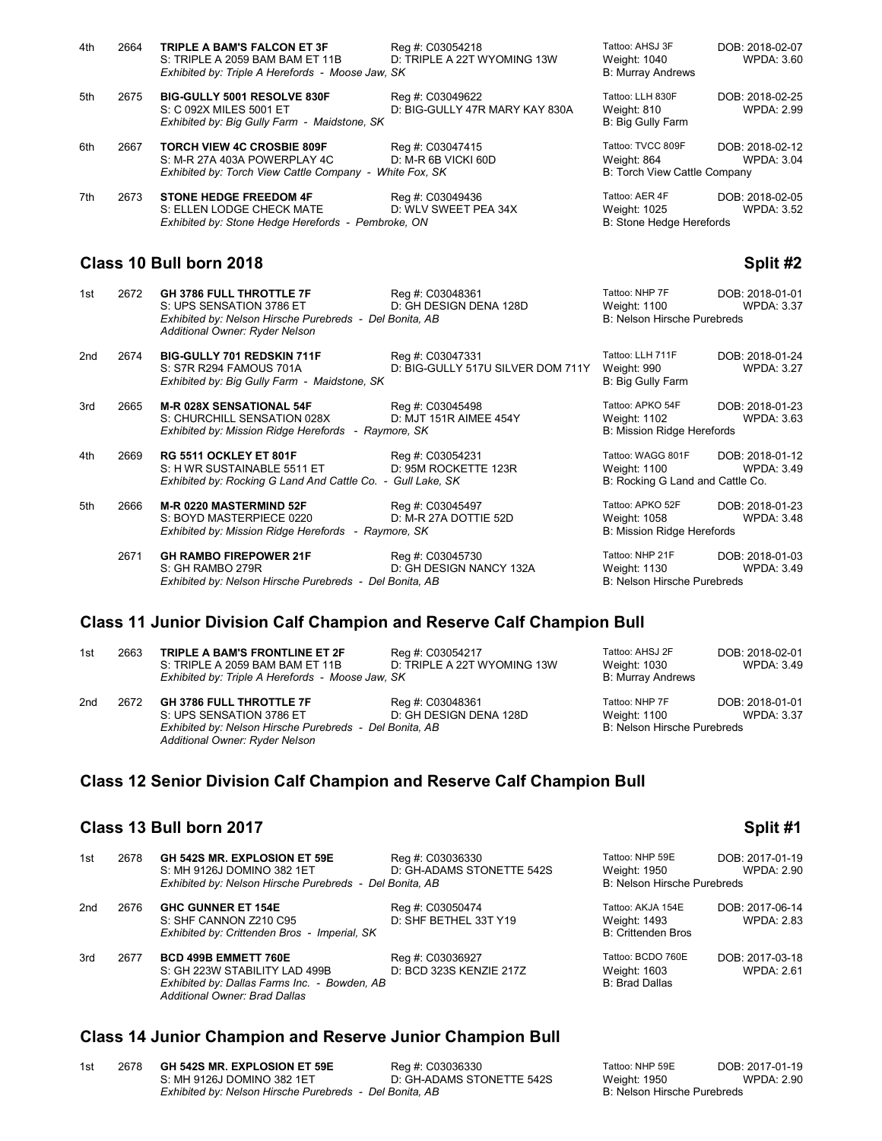| 4th                                 | 2664 | <b>TRIPLE A BAM'S FALCON ET 3F</b><br>S: TRIPLE A 2059 BAM BAM ET 11B<br>Exhibited by: Triple A Herefords - Moose Jaw, SK                                | Reg #: C03054218<br>D: TRIPLE A 22T WYOMING 13W    | Tattoo: AHSJ 3F<br>Weight: 1040<br><b>B: Murray Andrews</b>          | DOB: 2018-02-07<br>WPDA: 3.60        |
|-------------------------------------|------|----------------------------------------------------------------------------------------------------------------------------------------------------------|----------------------------------------------------|----------------------------------------------------------------------|--------------------------------------|
| 5th                                 | 2675 | <b>BIG-GULLY 5001 RESOLVE 830F</b><br>S: C 092X MILES 5001 ET<br>Exhibited by: Big Gully Farm - Maidstone, SK                                            | Reg #: C03049622<br>D: BIG-GULLY 47R MARY KAY 830A | Tattoo: LLH 830F<br>Weight: 810<br>B: Big Gully Farm                 | DOB: 2018-02-25<br>WPDA: 2.99        |
| 6th                                 | 2667 | <b>TORCH VIEW 4C CROSBIE 809F</b><br>S: M-R 27A 403A POWERPLAY 4C<br>Exhibited by: Torch View Cattle Company - White Fox, SK                             | Reg #: C03047415<br>D: M-R 6B VICKI 60D            | Tattoo: TVCC 809F<br>Weight: 864<br>B: Torch View Cattle Company     | DOB: 2018-02-12<br>WPDA: 3.04        |
| 7th                                 | 2673 | <b>STONE HEDGE FREEDOM 4F</b><br>S: ELLEN LODGE CHECK MATE<br>Exhibited by: Stone Hedge Herefords - Pembroke, ON                                         | Reg #: C03049436<br>D: WLV SWEET PEA 34X           | Tattoo: AER 4F<br>Weight: 1025<br>B: Stone Hedge Herefords           | DOB: 2018-02-05<br><b>WPDA: 3.52</b> |
| Class 10 Bull born 2018<br>Split #2 |      |                                                                                                                                                          |                                                    |                                                                      |                                      |
| 1st                                 | 2672 | <b>GH 3786 FULL THROTTLE 7F</b><br>S: UPS SENSATION 3786 ET<br>Exhibited by: Nelson Hirsche Purebreds - Del Bonita, AB<br>Additional Owner: Ryder Nelson | Reg #: C03048361<br>D: GH DESIGN DENA 128D         | Tattoo: NHP 7F<br><b>Weight: 1100</b><br>B: Nelson Hirsche Purebreds | DOB: 2018-01-01<br><b>WPDA: 3.37</b> |

2nd 2674 **BIG-GULLY 701 REDSKIN 711F** Reg #: C03047331 Tattoo: LLH 711F DOB: 2018-01-24 D: BIG-GULLY 517U SILVER DOM 711Y Weight: 990<br>B: Big Gully Farm *Exhibited by: Big Gully Farm - Maidstone, SK* 

3rd 2665 **M-R 028X SENSATIONAL 54F** Reg #: C03045498 Tattoo: APKO 54F DOB: 2018-01-23<br>S: CHURCHILL SENSATION 028X D: MJT 151R AIMEE 454Y Weight: 1102 WPDA: 3.63 S: CHURCHILL SENSATION 028X D: MJT 151R AIMEE 454Y Weight: 1102<br>
Exhibited by: Mission Ridge Herefords - Raymore, SK B: Mission Ridge Herefords *Exhibited by: Mission Ridge Herefords - Raymore, SK* 

4th 2669 **RG 5511 OCKLEY ET 801F** Reg #: C03054231 Tattoo: WAGG 801F DOB: 2018-01-12 S: H WR SUSTAINABLE 5511 ET D: 95M ROCKETTE 123R Weight: 1100 WPD<br>Exhibited by: Rocking G Land And Cattle Co. - Gull Lake, SK B: Rocking G Land and Cattle Co. *Exhibited by: Rocking G Land And Cattle Co. - Gull Lake, SK* 

5th 2666 **M-R 0220 MASTERMIND 52F** Reg #: C03045497 Tattoo: APKO 52F DOB: 2018-01-23<br>S: BOYD MASTERPIECE 0220 D: M-R 27A DOTTIE 52D Weight: 1058 WPDA: 3.48 S: BOYD MASTERPIECE 0220 D: M-R 27A DOTTIE 52D Weight: 1058<br>
Exhibited by: Mission Ridge Herefords - Raymore, SK B: Mission Ridge Herefords *Exhibited by: Mission Ridge Herefords - Raymore, SK* 

*Additional Owner: Ryder Nelson*

 2671 **GH RAMBO FIREPOWER 21F** Reg #: C03045730 Tattoo: NHP 21F DOB: 2018-01-03 *Exhibited by: Nelson Hirsche Purebreds - Del Bonita, AB* 

D: GH DESIGN NANCY 132A Weight: 1130 (D: GH DESIGN NANCY 132A Weight: 1130

### **Class 11 Junior Division Calf Champion and Reserve Calf Champion Bull**

| 1st             | 2663 | TRIPLE A BAM'S FRONTLINE ET 2F<br>S: TRIPLE A 2059 BAM BAM ET 11B<br>Exhibited by: Triple A Herefords - Moose Jaw, SK | Reg #: C03054217<br>D: TRIPLE A 22T WYOMING 13W | Tattoo: AHSJ 2F<br>Weight: 1030<br><b>B: Murray Andrews</b> | DOB: 2018-02-01<br><b>WPDA: 3.49</b> |
|-----------------|------|-----------------------------------------------------------------------------------------------------------------------|-------------------------------------------------|-------------------------------------------------------------|--------------------------------------|
| 2 <sub>nd</sub> | 2672 | <b>GH 3786 FULL THROTTLE 7F</b>                                                                                       | Reg #: C03048361                                | Tattoo: NHP 7F                                              | DOB: 2018-01-01                      |
|                 |      | S: UPS SENSATION 3786 ET                                                                                              | D: GH DESIGN DENA 128D                          | Weight: 1100                                                | <b>WPDA: 3.37</b>                    |
|                 |      | Exhibited by: Nelson Hirsche Purebreds - Del Bonita, AB                                                               |                                                 | B: Nelson Hirsche Purebreds                                 |                                      |

# **Class 12 Senior Division Calf Champion and Reserve Calf Champion Bull**

# **Class 13 Bull born 2017 Split #1**

| 1st | 2678 | GH 542S MR. EXPLOSION ET 59E<br>S: MH 9126J DOMINO 382 1ET                                                                                    | Reg #: C03036330<br>D: GH-ADAMS STONETTE 542S | Tattoo: NHP 59E<br>Weight: 1950                                | DOB: 2017-01-19<br><b>WPDA: 2.90</b> |
|-----|------|-----------------------------------------------------------------------------------------------------------------------------------------------|-----------------------------------------------|----------------------------------------------------------------|--------------------------------------|
|     |      | Exhibited by: Nelson Hirsche Purebreds - Del Bonita, AB                                                                                       |                                               | <b>B: Nelson Hirsche Purebreds</b>                             |                                      |
| 2nd | 2676 | <b>GHC GUNNER ET 154E</b><br>S: SHF CANNON Z210 C95<br>Exhibited by: Crittenden Bros - Imperial, SK                                           | Reg #: C03050474<br>D: SHF BETHEL 33T Y19     | Tattoo: AKJA 154E<br>Weight: 1493<br><b>B: Crittenden Bros</b> | DOB: 2017-06-14<br><b>WPDA: 2.83</b> |
| 3rd | 2677 | <b>BCD 499B EMMETT 760E</b><br>S: GH 223W STABILITY LAD 499B<br>Exhibited by: Dallas Farms Inc. - Bowden, AB<br>Additional Owner: Brad Dallas | Reg #: C03036927<br>D: BCD 323S KENZIE 217Z   | Tattoo: BCDO 760E<br>Weight: 1603<br><b>B: Brad Dallas</b>     | DOB: 2017-03-18<br><b>WPDA: 2.61</b> |

# **Class 14 Junior Champion and Reserve Junior Champion Bull**

| 1st | 2678 GH 542S MR. EXPLOSION ET 59E                        | Reg #: C03036330          | Tattoo: NHP 59E             | DOB: 2017-01-19   |
|-----|----------------------------------------------------------|---------------------------|-----------------------------|-------------------|
|     | S: MH 9126J DOMINO 382 1ET                               | D: GH-ADAMS STONETTE 542S | Weight: 1950                | <b>WPDA: 2.90</b> |
|     | Exhibited by: Nelson Hirsche Purebreds  - Del Bonita. AB |                           | B: Nelson Hirsche Purebreds |                   |